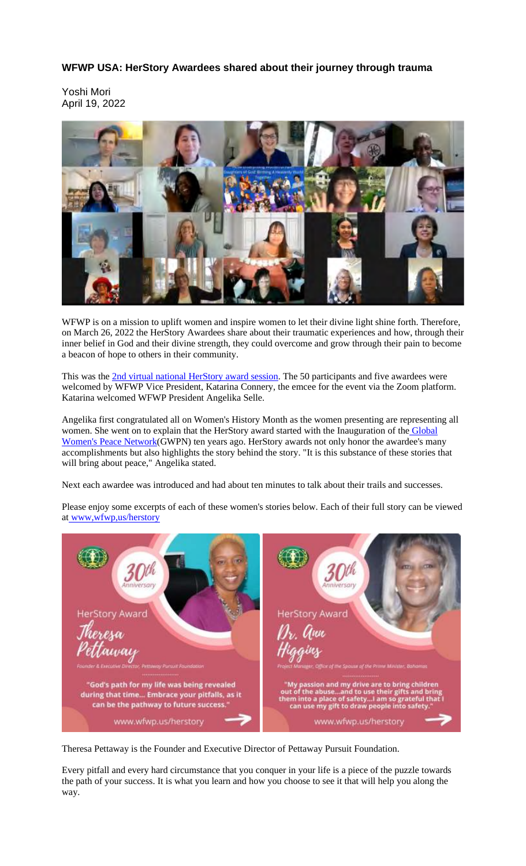## **WFWP USA: HerStory Awardees shared about their journey through trauma**

Yoshi Mori April 19, 2022



WFWP is on a mission to uplift women and inspire women to let their divine light shine forth. Therefore, on March 26, 2022 the HerStory Awardees share about their traumatic experiences and how, through their inner belief in God and their divine strength, they could overcome and grow through their pain to become a beacon of hope to others in their community.

This was the 2nd virtual national HerStory award session. The 50 participants and five awardees were welcomed by WFWP Vice President, Katarina Connery, the emcee for the event via the Zoom platform. Katarina welcomed WFWP President Angelika Selle.

Angelika first congratulated all on Women's History Month as the women presenting are representing all women. She went on to explain that the HerStory award started with the Inauguration of the Global Women's Peace Network(GWPN) ten years ago. HerStory awards not only honor the awardee's many accomplishments but also highlights the story behind the story. "It is this substance of these stories that will bring about peace," Angelika stated.

Next each awardee was introduced and had about ten minutes to talk about their trails and successes.

Please enjoy some excerpts of each of these women's stories below. Each of their full story can be viewed at www,wfwp,us/herstory



Theresa Pettaway is the Founder and Executive Director of Pettaway Pursuit Foundation.

Every pitfall and every hard circumstance that you conquer in your life is a piece of the puzzle towards the path of your success. It is what you learn and how you choose to see it that will help you along the way.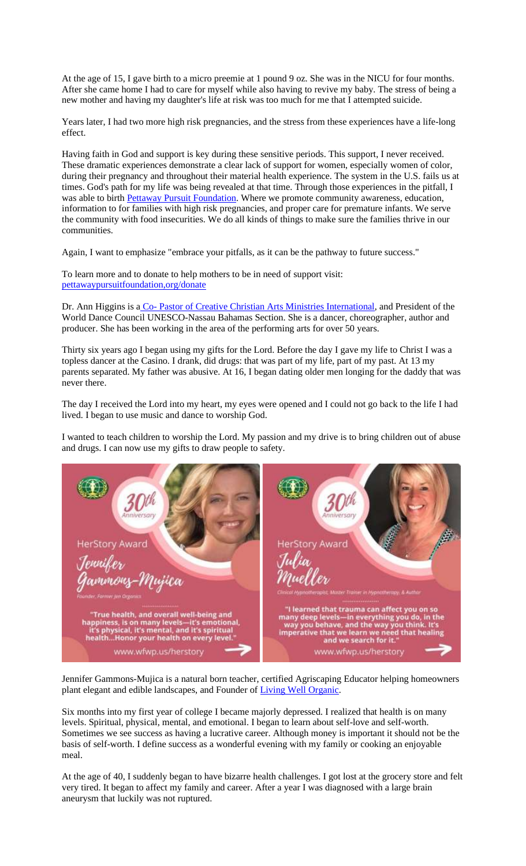At the age of 15, I gave birth to a micro preemie at 1 pound 9 oz. She was in the NICU for four months. After she came home I had to care for myself while also having to revive my baby. The stress of being a new mother and having my daughter's life at risk was too much for me that I attempted suicide.

Years later, I had two more high risk pregnancies, and the stress from these experiences have a life-long effect.

Having faith in God and support is key during these sensitive periods. This support, I never received. These dramatic experiences demonstrate a clear lack of support for women, especially women of color, during their pregnancy and throughout their material health experience. The system in the U.S. fails us at times. God's path for my life was being revealed at that time. Through those experiences in the pitfall, I was able to birth Pettaway Pursuit Foundation. Where we promote community awareness, education, information to for families with high risk pregnancies, and proper care for premature infants. We serve the community with food insecurities. We do all kinds of things to make sure the families thrive in our communities.

Again, I want to emphasize "embrace your pitfalls, as it can be the pathway to future success."

To learn more and to donate to help mothers to be in need of support visit: pettawaypursuitfoundation,org/donate

Dr. Ann Higgins is a Co- Pastor of Creative Christian Arts Ministries International, and President of the World Dance Council UNESCO-Nassau Bahamas Section. She is a dancer, choreographer, author and producer. She has been working in the area of the performing arts for over 50 years.

Thirty six years ago I began using my gifts for the Lord. Before the day I gave my life to Christ I was a topless dancer at the Casino. I drank, did drugs: that was part of my life, part of my past. At 13 my parents separated. My father was abusive. At 16, I began dating older men longing for the daddy that was never there.

The day I received the Lord into my heart, my eyes were opened and I could not go back to the life I had lived. I began to use music and dance to worship God.

I wanted to teach children to worship the Lord. My passion and my drive is to bring children out of abuse and drugs. I can now use my gifts to draw people to safety.

| <b>HerStory Award</b>                                                                                                                                                                                                                                                  | <b>HerStory Award</b>                                                                                                                                                                                                                                                                                                   |
|------------------------------------------------------------------------------------------------------------------------------------------------------------------------------------------------------------------------------------------------------------------------|-------------------------------------------------------------------------------------------------------------------------------------------------------------------------------------------------------------------------------------------------------------------------------------------------------------------------|
| Jennifer<br>Gavnmons-Mujica                                                                                                                                                                                                                                            | Julia<br>Nueller                                                                                                                                                                                                                                                                                                        |
| Founder, Former Jen Organist<br>-------------------<br>"True health, and overall well-being and<br>happiness, is on many levels--it's emotional,<br>it's physical, it's mental, and it's spiritual<br>healthHonor your health on every level."<br>www.wfwp.us/herstory | Choical Hypnotherapist, Muster Trainer in Hypnotherapy, & Author-<br><br>"I learned that trauma can affect you on so<br>many deep levels-in everything you do, in the<br>way you behave, and the way you think. It's<br>imperative that we learn we need that healing<br>and we search for it."<br>www.wfwp.us/herstory |

Jennifer Gammons-Mujica is a natural born teacher, certified Agriscaping Educator helping homeowners plant elegant and edible landscapes, and Founder of Living Well Organic.

Six months into my first year of college I became majorly depressed. I realized that health is on many levels. Spiritual, physical, mental, and emotional. I began to learn about self-love and self-worth. Sometimes we see success as having a lucrative career. Although money is important it should not be the basis of self-worth. I define success as a wonderful evening with my family or cooking an enjoyable meal.

At the age of 40, I suddenly began to have bizarre health challenges. I got lost at the grocery store and felt very tired. It began to affect my family and career. After a year I was diagnosed with a large brain aneurysm that luckily was not ruptured.